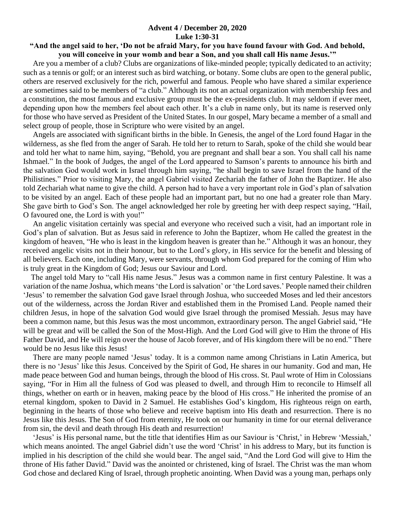## **Advent 4 / December 20, 2020 Luke 1:30-31**

## **"And the angel said to her, 'Do not be afraid Mary, for you have found favour with God. And behold, you will conceive in your womb and bear a Son, and you shall call His name Jesus.'"**

 Are you a member of a club? Clubs are organizations of like-minded people; typically dedicated to an activity; such as a tennis or golf; or an interest such as bird watching, or botany. Some clubs are open to the general public, others are reserved exclusively for the rich, powerful and famous. People who have shared a similar experience are sometimes said to be members of "a club." Although its not an actual organization with membership fees and a constitution, the most famous and exclusive group must be the ex-presidents club. It may seldom if ever meet, depending upon how the members feel about each other. It's a club in name only, but its name is reserved only for those who have served as President of the United States. In our gospel, Mary became a member of a small and select group of people, those in Scripture who were visited by an angel.

 Angels are associated with significant births in the bible. In Genesis, the angel of the Lord found Hagar in the wilderness, as she fled from the anger of Sarah. He told her to return to Sarah, spoke of the child she would bear and told her what to name him, saying, "Behold, you are pregnant and shall bear a son. You shall call his name Ishmael." In the book of Judges, the angel of the Lord appeared to Samson's parents to announce his birth and the salvation God would work in Israel through him saying, "he shall begin to save Israel from the hand of the Philistines." Prior to visiting Mary, the angel Gabriel visited Zechariah the father of John the Baptizer. He also told Zechariah what name to give the child. A person had to have a very important role in God's plan of salvation to be visited by an angel. Each of these people had an important part, but no one had a greater role than Mary. She gave birth to God's Son. The angel acknowledged her role by greeting her with deep respect saying, "Hail, O favoured one, the Lord is with you!"

 An angelic visitation certainly was special and everyone who received such a visit, had an important role in God's plan of salvation. But as Jesus said in reference to John the Baptizer, whom He called the greatest in the kingdom of heaven, "He who is least in the kingdom heaven is greater than he." Although it was an honour, they received angelic visits not in their honour, but to the Lord's glory, in His service for the benefit and blessing of all believers. Each one, including Mary, were servants, through whom God prepared for the coming of Him who is truly great in the Kingdom of God; Jesus our Saviour and Lord.

 The angel told Mary to "call His name Jesus." Jesus was a common name in first century Palestine. It was a variation of the name Joshua, which means 'the Lord is salvation' or 'the Lord saves.' People named their children 'Jesus' to remember the salvation God gave Israel through Joshua, who succeeded Moses and led their ancestors out of the wilderness, across the Jordan River and established them in the Promised Land. People named their children Jesus, in hope of the salvation God would give Israel through the promised Messiah. Jesus may have been a common name, but this Jesus was the most uncommon, extraordinary person. The angel Gabriel said, "He will be great and will be called the Son of the Most-High. And the Lord God will give to Him the throne of His Father David, and He will reign over the house of Jacob forever, and of His kingdom there will be no end." There would be no Jesus like this Jesus!

 There are many people named 'Jesus' today. It is a common name among Christians in Latin America, but there is no 'Jesus' like this Jesus. Conceived by the Spirit of God, He shares in our humanity. God and man, He made peace between God and human beings, through the blood of His cross. St. Paul wrote of Him in Colossians saying, "For in Him all the fulness of God was pleased to dwell, and through Him to reconcile to Himself all things, whether on earth or in heaven, making peace by the blood of His cross." He inherited the promise of an eternal kingdom, spoken to David in 2 Samuel. He establishes God's kingdom, His righteous reign on earth, beginning in the hearts of those who believe and receive baptism into His death and resurrection. There is no Jesus like this Jesus. The Son of God from eternity, He took on our humanity in time for our eternal deliverance from sin, the devil and death through His death and resurrection!

 'Jesus' is His personal name, but the title that identifies Him as our Saviour is 'Christ,' in Hebrew 'Messiah,' which means anointed. The angel Gabriel didn't use the word 'Christ' in his address to Mary, but its function is implied in his description of the child she would bear. The angel said, "And the Lord God will give to Him the throne of His father David." David was the anointed or christened, king of Israel. The Christ was the man whom God chose and declared King of Israel, through prophetic anointing. When David was a young man, perhaps only